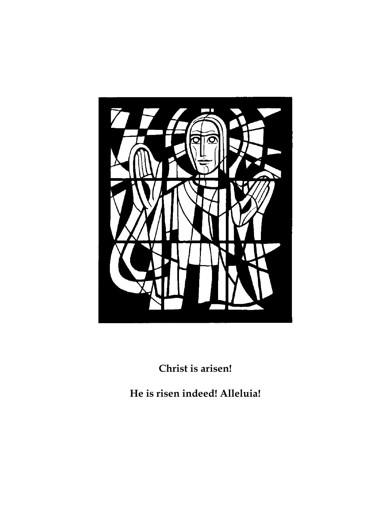

**Christ is arisen!**

**He is risen indeed! Alleluia!**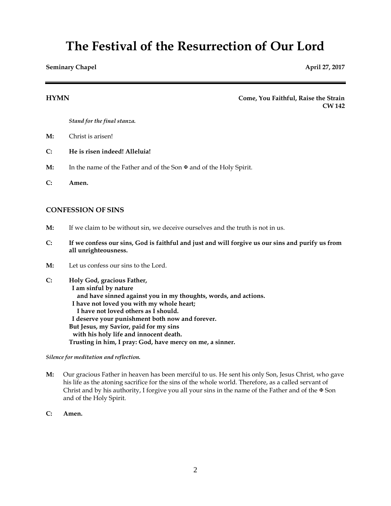# **The Festival of the Resurrection of Our Lord**

**Seminary Chapel April 27, 2017** 

**HYMN Come, You Faithful, Raise the Strain CW 142**

*Stand for the final stanza.*

- **M:** Christ is arisen!
- **C: He is risen indeed! Alleluia!**
- **M:** In the name of the Father and of the Son  $\mathcal{F}$  and of the Holy Spirit.
- **C: Amen.**

# **CONFESSION OF SINS**

- **M:** If we claim to be without sin, we deceive ourselves and the truth is not in us.
- **C: If we confess our sins, God is faithful and just and will forgive us our sins and purify us from all unrighteousness.**
- **M:** Let us confess our sins to the Lord.

**C: Holy God, gracious Father, I am sinful by nature and have sinned against you in my thoughts, words, and actions. I have not loved you with my whole heart; I have not loved others as I should. I deserve your punishment both now and forever. But Jesus, my Savior, paid for my sins with his holy life and innocent death. Trusting in him, I pray: God, have mercy on me, a sinner.**

*Silence for meditation and reflection.*

- **M:** Our gracious Father in heaven has been merciful to us. He sent his only Son, Jesus Christ, who gave his life as the atoning sacrifice for the sins of the whole world. Therefore, as a called servant of Christ and by his authority, I forgive you all your sins in the name of the Father and of the  $\Phi$  Son and of the Holy Spirit.
- **C: Amen.**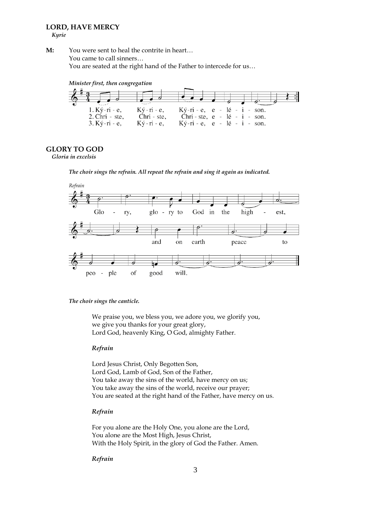# **LORD, HAVE MERCY**

 *Kyrie*

**M:** You were sent to heal the contrite in heart… You came to call sinners… You are seated at the right hand of the Father to intercede for us…





# **GLORY TO GOD**

 *Gloria in excelsis*

*The choir sings the refrain. All repeat the refrain and sing it again as indicated.*



## *The choir sings the canticle.*

We praise you, we bless you, we adore you, we glorify you, we give you thanks for your great glory, Lord God, heavenly King, O God, almighty Father.

# *Refrain*

Lord Jesus Christ, Only Begotten Son, Lord God, Lamb of God, Son of the Father, You take away the sins of the world, have mercy on us; You take away the sins of the world, receive our prayer; You are seated at the right hand of the Father, have mercy on us.

# *Refrain*

For you alone are the Holy One, you alone are the Lord, You alone are the Most High, Jesus Christ, With the Holy Spirit, in the glory of God the Father. Amen.

## *Refrain*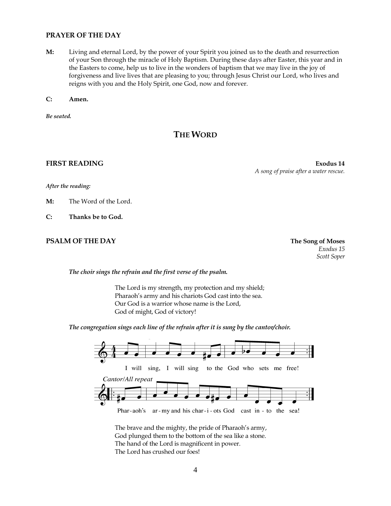# **PRAYER OF THE DAY**

**M:** Living and eternal Lord, by the power of your Spirit you joined us to the death and resurrection of your Son through the miracle of Holy Baptism. During these days after Easter, this year and in the Easters to come, help us to live in the wonders of baptism that we may live in the joy of forgiveness and live lives that are pleasing to you; through Jesus Christ our Lord, who lives and reigns with you and the Holy Spirit, one God, now and forever.

**C: Amen.**

*Be seated.*

# **THE WORD**

**FIRST READING Exodus 14** *A song of praise after a water rescue.*

*After the reading:*

**M:** The Word of the Lord.

**C: Thanks be to God.**

# **PSALM OF THE DAY The Song of Moses**

*Exodus 15 Scott Soper*

*The choir sings the refrain and the first verse of the psalm.*

The Lord is my strength, my protection and my shield; Pharaoh's army and his chariots God cast into the sea. Our God is a warrior whose name is the Lord, God of might, God of victory!

*The congregation sings each line of the refrain after it is sung by the cantor/choir.*



The brave and the mighty, the pride of Pharaoh's army, God plunged them to the bottom of the sea like a stone. The hand of the Lord is magnificent in power. The Lord has crushed our foes!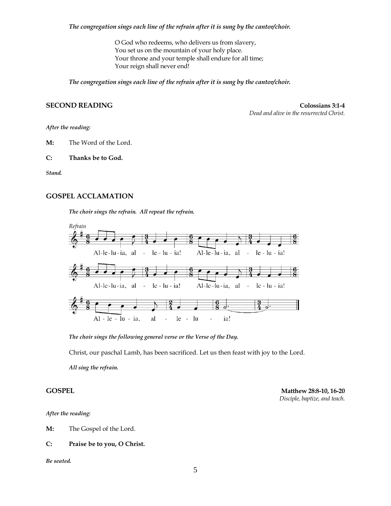*The congregation sings each line of the refrain after it is sung by the cantor/choir.*

O God who redeems, who delivers us from slavery, You set us on the mountain of your holy place. Your throne and your temple shall endure for all time; Your reign shall never end!

*The congregation sings each line of the refrain after it is sung by the cantor/choir.*

# **SECOND READING Colossians 3:1-4**

*Dead and alive in the resurrected Christ.*

*After the reading:*

**M:** The Word of the Lord.

**C: Thanks be to God.**

*Stand.*

### **GOSPEL ACCLAMATION**

*The choir sings the refrain. All repeat the refrain.*



*The choir sings the following general verse or the Verse of the Day.*

Christ, our paschal Lamb, has been sacrificed. Let us then feast with joy to the Lord.

*All sing the refrain.*

**GOSPEL Matthew 28:8-10, 16-20** *Disciple, baptize, and teach.*

# *After the reading:*

**M:** The Gospel of the Lord.

### **C: Praise be to you, O Christ.**

*Be seated.*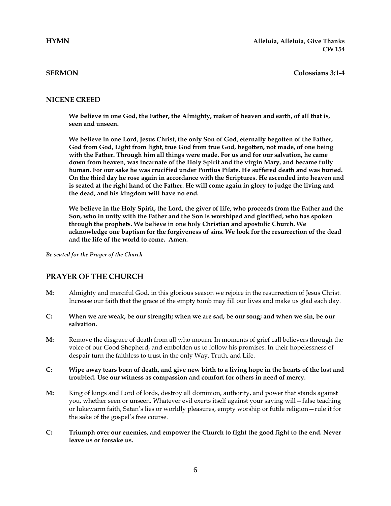# **SERMON Colossians 3:1-4**

# **NICENE CREED**

**We believe in one God, the Father, the Almighty, maker of heaven and earth, of all that is, seen and unseen.**

**We believe in one Lord, Jesus Christ, the only Son of God, eternally begotten of the Father, God from God, Light from light, true God from true God, begotten, not made, of one being with the Father. Through him all things were made. For us and for our salvation, he came down from heaven, was incarnate of the Holy Spirit and the virgin Mary, and became fully human. For our sake he was crucified under Pontius Pilate. He suffered death and was buried. On the third day he rose again in accordance with the Scriptures. He ascended into heaven and is seated at the right hand of the Father. He will come again in glory to judge the living and the dead, and his kingdom will have no end.**

**We believe in the Holy Spirit, the Lord, the giver of life, who proceeds from the Father and the Son, who in unity with the Father and the Son is worshiped and glorified, who has spoken through the prophets. We believe in one holy Christian and apostolic Church. We acknowledge one baptism for the forgiveness of sins. We look for the resurrection of the dead and the life of the world to come. Amen.**

*Be seated for the Prayer of the Church*

# **PRAYER OF THE CHURCH**

- **M:** Almighty and merciful God, in this glorious season we rejoice in the resurrection of Jesus Christ. Increase our faith that the grace of the empty tomb may fill our lives and make us glad each day.
- **C: When we are weak, be our strength; when we are sad, be our song; and when we sin, be our salvation.**
- **M:** Remove the disgrace of death from all who mourn. In moments of grief call believers through the voice of our Good Shepherd, and embolden us to follow his promises. In their hopelessness of despair turn the faithless to trust in the only Way, Truth, and Life.
- **C: Wipe away tears born of death, and give new birth to a living hope in the hearts of the lost and troubled. Use our witness as compassion and comfort for others in need of mercy.**
- **M:** King of kings and Lord of lords, destroy all dominion, authority, and power that stands against you, whether seen or unseen. Whatever evil exerts itself against your saving will—false teaching or lukewarm faith, Satan's lies or worldly pleasures, empty worship or futile religion—rule it for the sake of the gospel's free course.
- **C: Triumph over our enemies, and empower the Church to fight the good fight to the end. Never leave us or forsake us.**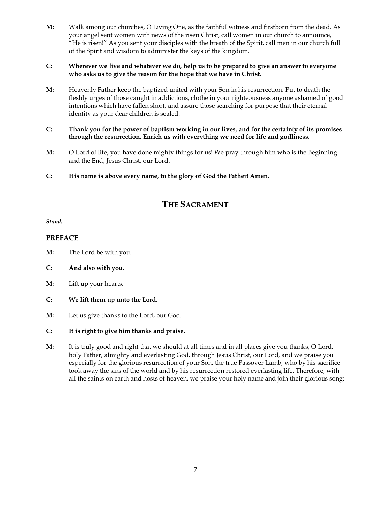**M:** Walk among our churches, O Living One, as the faithful witness and firstborn from the dead. As your angel sent women with news of the risen Christ, call women in our church to announce, "He is risen!" As you sent your disciples with the breath of the Spirit, call men in our church full of the Spirit and wisdom to administer the keys of the kingdom.

# **C: Wherever we live and whatever we do, help us to be prepared to give an answer to everyone who asks us to give the reason for the hope that we have in Christ.**

**M:** Heavenly Father keep the baptized united with your Son in his resurrection. Put to death the fleshly urges of those caught in addictions, clothe in your righteousness anyone ashamed of good intentions which have fallen short, and assure those searching for purpose that their eternal identity as your dear children is sealed.

# **C: Thank you for the power of baptism working in our lives, and for the certainty of its promises through the resurrection. Enrich us with everything we need for life and godliness.**

- **M:** O Lord of life, you have done mighty things for us! We pray through him who is the Beginning and the End, Jesus Christ, our Lord.
- **C: His name is above every name, to the glory of God the Father! Amen.**

# **THE SACRAMENT**

*Stand.*

# **PREFACE**

- **M:** The Lord be with you.
- **C: And also with you.**
- **M:** Lift up your hearts.
- **C: We lift them up unto the Lord.**
- **M:** Let us give thanks to the Lord, our God.
- **C: It is right to give him thanks and praise.**
- **M:** It is truly good and right that we should at all times and in all places give you thanks, O Lord, holy Father, almighty and everlasting God, through Jesus Christ, our Lord, and we praise you especially for the glorious resurrection of your Son, the true Passover Lamb, who by his sacrifice took away the sins of the world and by his resurrection restored everlasting life. Therefore, with all the saints on earth and hosts of heaven, we praise your holy name and join their glorious song: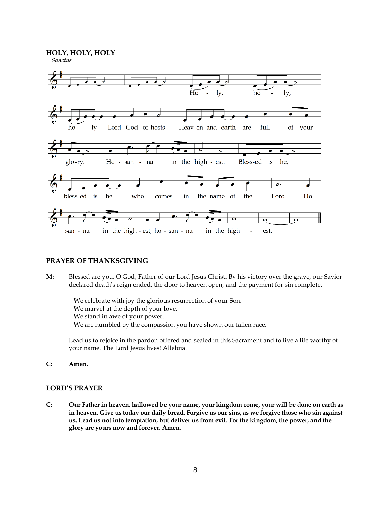**HOLY, HOLY, HOLY**



# **PRAYER OF THANKSGIVING**

**M:** Blessed are you, O God, Father of our Lord Jesus Christ. By his victory over the grave, our Savior declared death's reign ended, the door to heaven open, and the payment for sin complete.

 We celebrate with joy the glorious resurrection of your Son. We marvel at the depth of your love. We stand in awe of your power. We are humbled by the compassion you have shown our fallen race.

Lead us to rejoice in the pardon offered and sealed in this Sacrament and to live a life worthy of your name. The Lord Jesus lives! Alleluia.

**C: Amen.**

# **LORD'S PRAYER**

**C: Our Father in heaven, hallowed be your name, your kingdom come, your will be done on earth as in heaven. Give us today our daily bread. Forgive us our sins, as we forgive those who sin against us. Lead us not into temptation, but deliver us from evil. For the kingdom, the power, and the glory are yours now and forever. Amen.**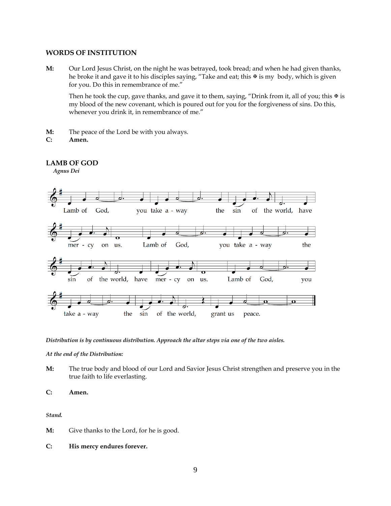# **WORDS OF INSTITUTION**

**M:** Our Lord Jesus Christ, on the night he was betrayed, took bread; and when he had given thanks, he broke it and gave it to his disciples saying, "Take and eat; this  $\mathcal F$  is my body, which is given for you. Do this in remembrance of me."

Then he took the cup, gave thanks, and gave it to them, saying, "Drink from it, all of you; this  $\mathcal F$  is my blood of the new covenant, which is poured out for you for the forgiveness of sins. Do this, whenever you drink it, in remembrance of me."

- **M:** The peace of the Lord be with you always.
- **C: Amen.**

# **LAMB OF GOD**

 *Agnus Dei*



*Distribution is by continuous distribution. Approach the altar steps via one of the two aisles.* 

*At the end of the Distribution:*

**M:** The true body and blood of our Lord and Savior Jesus Christ strengthen and preserve you in the true faith to life everlasting.

**C: Amen.**

*Stand.*

- **M:** Give thanks to the Lord, for he is good.
- **C: His mercy endures forever.**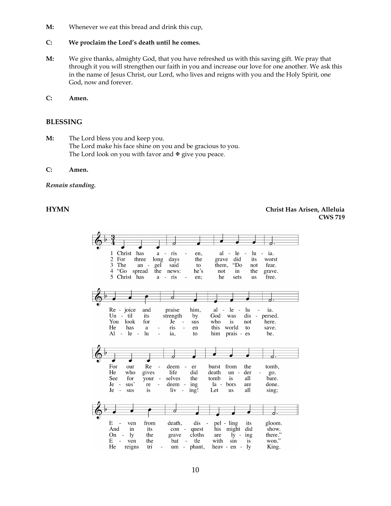**M:** Whenever we eat this bread and drink this cup,

# **C: We proclaim the Lord's death until he comes.**

- **M:** We give thanks, almighty God, that you have refreshed us with this saving gift. We pray that through it you will strengthen our faith in you and increase our love for one another. We ask this in the name of Jesus Christ, our Lord, who lives and reigns with you and the Holy Spirit, one God, now and forever.
- **C: Amen.**

# **BLESSING**

**M:** The Lord bless you and keep you. The Lord make his face shine on you and be gracious to you. The Lord look on you with favor and  $\mathcal F$  give you peace.

# **C: Amen.**

## *Remain standing.*

# **HYMN Christ Has Arisen, Alleluia CWS 719**